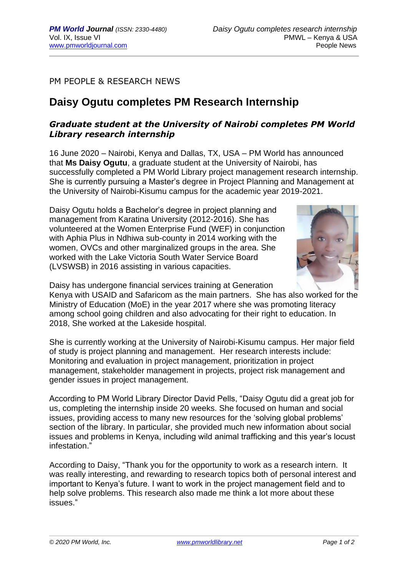PM PEOPLE & RESEARCH NEWS

## **Daisy Ogutu completes PM Research Internship**

## *Graduate student at the University of Nairobi completes PM World Library research internship*

16 June 2020 – Nairobi, Kenya and Dallas, TX, USA – PM World has announced that **Ms Daisy Ogutu**, a graduate student at the University of Nairobi, has successfully completed a PM World Library project management research internship. She is currently pursuing a Master's degree in Project Planning and Management at the University of Nairobi-Kisumu campus for the academic year 2019-2021.

Daisy Ogutu holds a Bachelor's degree in project planning and management from Karatina University (2012-2016). She has volunteered at the Women Enterprise Fund (WEF) in conjunction with Aphia Plus in Ndhiwa sub-county in 2014 working with the women, OVCs and other marginalized groups in the area. She worked with the Lake Victoria South Water Service Board (LVSWSB) in 2016 assisting in various capacities.



Daisy has undergone financial services training at Generation

Kenya with USAID and Safaricom as the main partners. She has also worked for the Ministry of Education (MoE) in the year 2017 where she was promoting literacy among school going children and also advocating for their right to education. In 2018, She worked at the Lakeside hospital.

She is currently working at the University of Nairobi-Kisumu campus. Her major field of study is project planning and management. Her research interests include: Monitoring and evaluation in project management, prioritization in project management, stakeholder management in projects, project risk management and gender issues in project management.

According to PM World Library Director David Pells, "Daisy Ogutu did a great job for us, completing the internship inside 20 weeks. She focused on human and social issues, providing access to many new resources for the 'solving global problems' section of the library. In particular, she provided much new information about social issues and problems in Kenya, including wild animal trafficking and this year's locust infestation."

According to Daisy, "Thank you for the opportunity to work as a research intern. It was really interesting, and rewarding to research topics both of personal interest and important to Kenya's future. I want to work in the project management field and to help solve problems. This research also made me think a lot more about these issues."